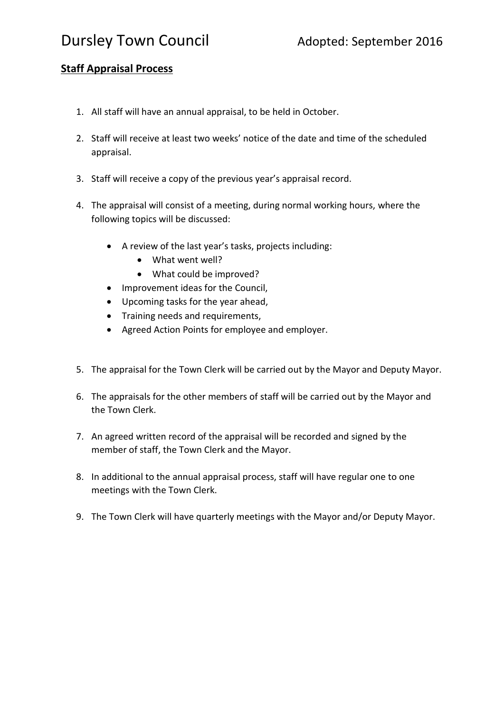## Dursley Town Council **Adopted:** September 2016

## **Staff Appraisal Process**

- 1. All staff will have an annual appraisal, to be held in October.
- 2. Staff will receive at least two weeks' notice of the date and time of the scheduled appraisal.
- 3. Staff will receive a copy of the previous year's appraisal record.
- 4. The appraisal will consist of a meeting, during normal working hours, where the following topics will be discussed:
	- A review of the last year's tasks, projects including:
		- What went well?
		- What could be improved?
	- Improvement ideas for the Council,
	- Upcoming tasks for the year ahead,
	- Training needs and requirements,
	- Agreed Action Points for employee and employer.
- 5. The appraisal for the Town Clerk will be carried out by the Mayor and Deputy Mayor.
- 6. The appraisals for the other members of staff will be carried out by the Mayor and the Town Clerk.
- 7. An agreed written record of the appraisal will be recorded and signed by the member of staff, the Town Clerk and the Mayor.
- 8. In additional to the annual appraisal process, staff will have regular one to one meetings with the Town Clerk.
- 9. The Town Clerk will have quarterly meetings with the Mayor and/or Deputy Mayor.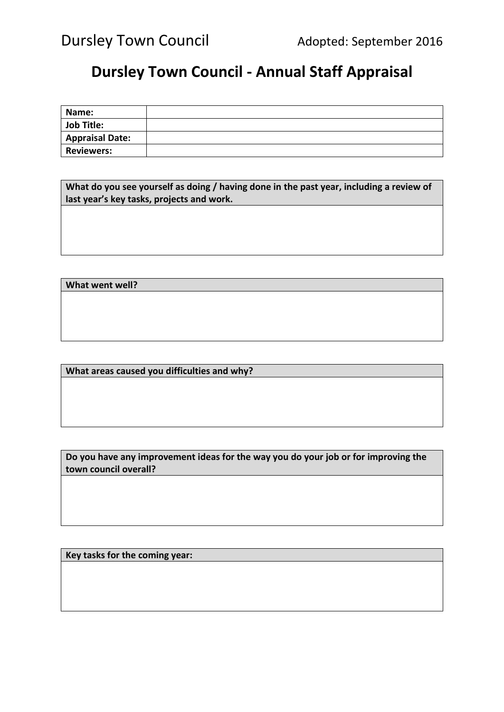## **Dursley Town Council - Annual Staff Appraisal**

| Name:                  |  |
|------------------------|--|
| <b>Job Title:</b>      |  |
| <b>Appraisal Date:</b> |  |
| <b>Reviewers:</b>      |  |

**What do you see yourself as doing / having done in the past year, including a review of last year's key tasks, projects and work.**

**What went well?**

**What areas caused you difficulties and why?**

**Do you have any improvement ideas for the way you do your job or for improving the town council overall?**

**Key tasks for the coming year:**